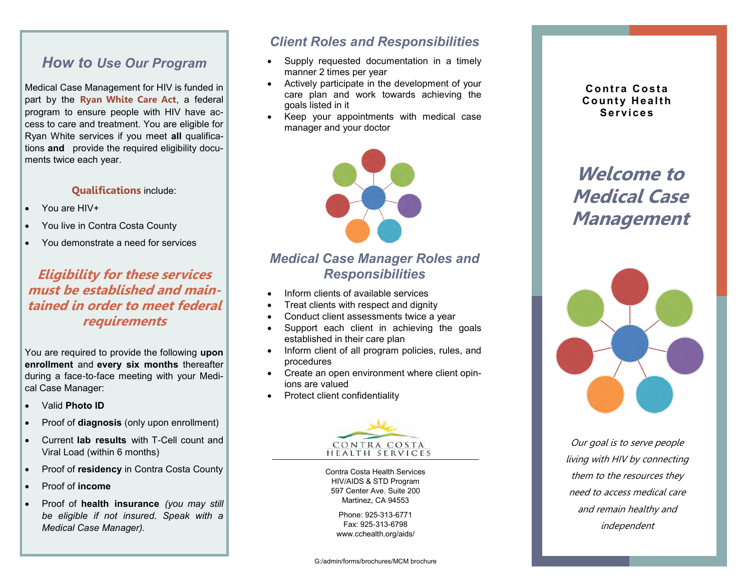# *How to Use Our Program*

Medical Case Management for HIV is funded in part by the **Ryan White Care Act**, a federal program to ensure people with HIV have access to care and treatment. You are eligible for Ryan White services if you meet **all** qualifications **and** provide the required eligibility documents twice each year.

#### **Qualifications** include:

- You are HIV+
- You live in Contra Costa County
- You demonstrate a need for services

## **Eligibility for these services must be established and maintained in order to meet federal requirements**

You are required to provide the following **upon enrollment** and **every six months** thereafter during a face-to-face meeting with your Medical Case Manager:

- Valid **Photo ID**
- Proof of **diagnosis** (only upon enrollment)
- Current **lab results** with T-Cell count and Viral Load (within 6 months)
- Proof of **residency** in Contra Costa County
- Proof of **income**
- Proof of **health insurance** *(you may still be eligible if not insured. Speak with a Medical Case Manager).*

## *Client Roles and Responsibilities*

- Supply requested documentation in a timely manner 2 times per year
- Actively participate in the development of your care plan and work towards achieving the goals listed in it
- Keep your appointments with medical case manager and your doctor



# *Medical Case Manager Roles and Responsibilities*

- Inform clients of available services
- Treat clients with respect and dignity
- Conduct client assessments twice a year
- Support each client in achieving the goals established in their care plan
- Inform client of all program policies, rules, and procedures
- Create an open environment where client opinions are valued
- Protect client confidentiality



Contra Costa Health Services HIV/AIDS & STD Program 597 Center Ave. Suite 200 Martinez, CA 94553

> Phone: 925-313-6771 Fax: 925-313-6798 www.cchealth.org/aids/

**Contra Costa County Health Se r vi c e s** 

**Welcome to Medical Case Management** 



Our goal is to serve people living with HIV by connecting them to the resources they need to access medical care and remain healthy and independent